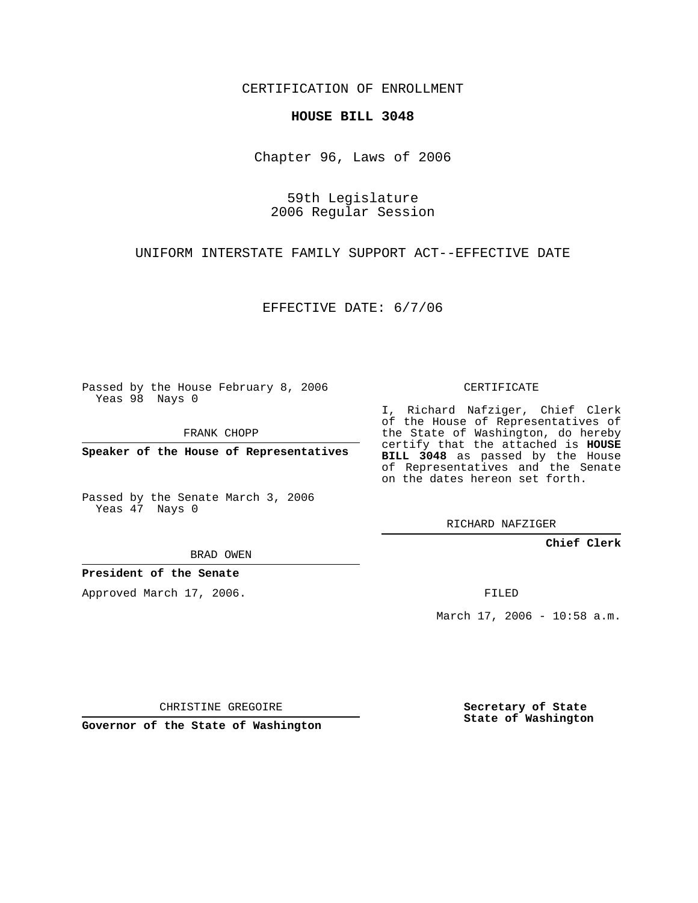CERTIFICATION OF ENROLLMENT

## **HOUSE BILL 3048**

Chapter 96, Laws of 2006

59th Legislature 2006 Regular Session

UNIFORM INTERSTATE FAMILY SUPPORT ACT--EFFECTIVE DATE

EFFECTIVE DATE: 6/7/06

Passed by the House February 8, 2006 Yeas 98 Nays 0

FRANK CHOPP

**Speaker of the House of Representatives**

Passed by the Senate March 3, 2006 Yeas 47 Nays 0

CERTIFICATE

I, Richard Nafziger, Chief Clerk of the House of Representatives of the State of Washington, do hereby certify that the attached is **HOUSE BILL 3048** as passed by the House of Representatives and the Senate on the dates hereon set forth.

RICHARD NAFZIGER

**Chief Clerk**

BRAD OWEN

**President of the Senate**

Approved March 17, 2006.

FILED

March 17, 2006 - 10:58 a.m.

CHRISTINE GREGOIRE

**Governor of the State of Washington**

**Secretary of State State of Washington**